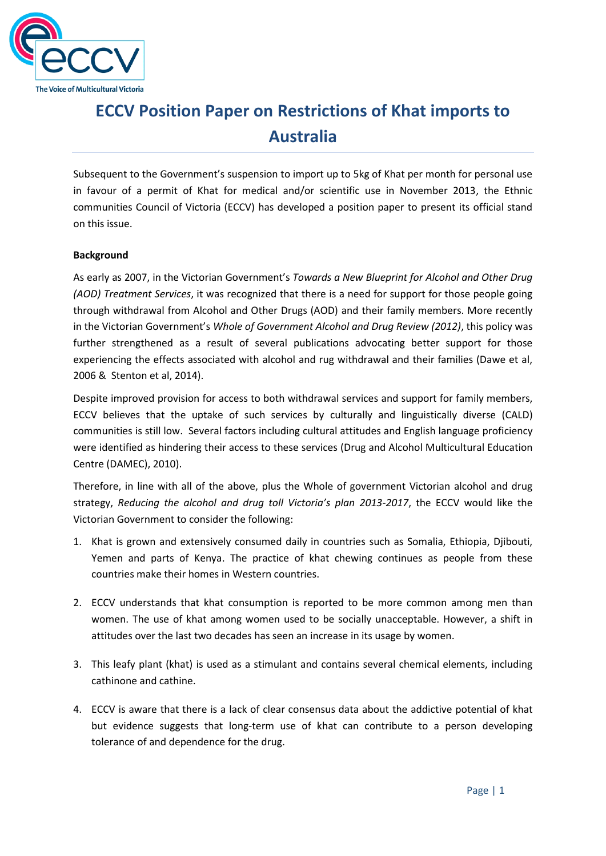

## *<u>rictio</u>* **ECCV Position Paper on Restrictions of Khat imports to Australia**

Subsequent to the Government's suspension to import up to 5kg of Khat per month for personal use in favour of a permit of Khat for medical and/or scientific use in November 2013, the Ethnic communities Council of Victoria (ECCV) has developed a position paper to present its official stand on this issue.

## **Background**

As early as 2007, in the Victorian Government's *Towards a New Blueprint for Alcohol and Other Drug (AOD) Treatment Services*, it was recognized that there is a need for support for those people going through withdrawal from Alcohol and Other Drugs (AOD) and their family members. More recently in the Victorian Government's *Whole of Government Alcohol and Drug Review (2012)*, this policy was further strengthened as a result of several publications advocating better support for those experiencing the effects associated with alcohol and rug withdrawal and their families (Dawe et al, 2006 & Stenton et al, 2014).

Despite improved provision for access to both withdrawal services and support for family members, ECCV believes that the uptake of such services by culturally and linguistically diverse (CALD) communities is still low. Several factors including cultural attitudes and English language proficiency were identified as hindering their access to these services (Drug and Alcohol Multicultural Education Centre (DAMEC), 2010).

Therefore, in line with all of the above, plus the Whole of government Victorian alcohol and drug strategy, *Reducing the alcohol and drug toll Victoria's plan 2013-2017*, the ECCV would like the Victorian Government to consider the following:

- 1. Khat is grown and extensively consumed daily in countries such as Somalia, Ethiopia, Djibouti, Yemen and parts of Kenya. The practice of khat chewing continues as people from these countries make their homes in Western countries.
- 2. ECCV understands that khat consumption is reported to be more common among men than women. The use of khat among women used to be socially unacceptable. However, a shift in attitudes over the last two decades has seen an increase in its usage by women.
- 3. This leafy plant (khat) is used as a stimulant and contains several chemical elements, including cathinone and cathine.
- 4. ECCV is aware that there is a lack of clear consensus data about the addictive potential of khat but evidence suggests that long-term use of khat can contribute to a person developing tolerance of and dependence for the drug.